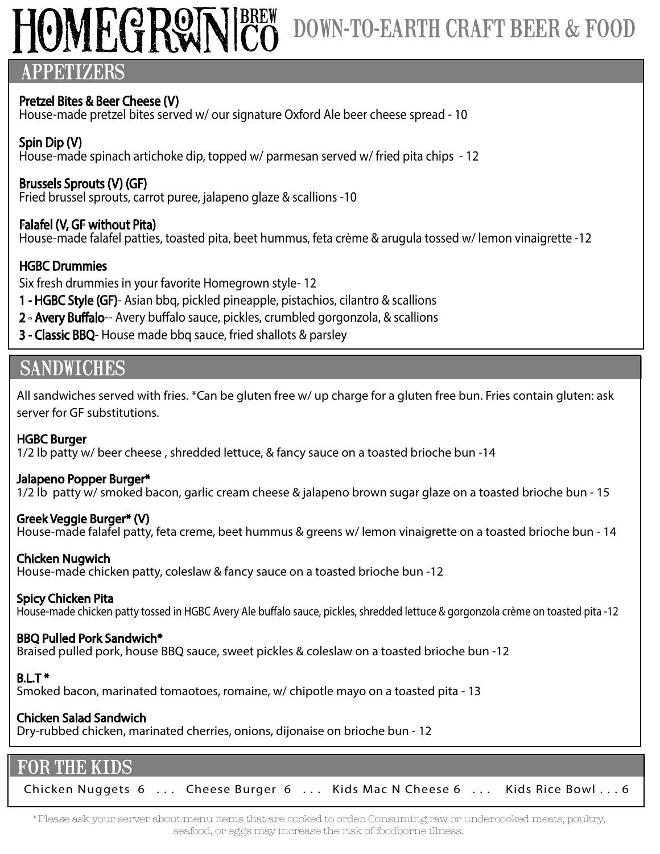# OMEGRW

# DOWN-TO-EARTH CRAFT BEER & FOOD

### APPETIZERS

### Pretzel Bites & Beer Cheese (V)

House-made pretzel bites served w/ our signature Oxford Ale beer cheese spread - 10

### Spin Dip (V)

House-made spinach artichoke dip, topped w/ parmesan served w/ fried pita chips - 12

### Brussels Sprouts (V) (GF)

Fried brussel sprouts, carrot puree, jalapeno glaze & scallions -10

### Falafel (V, GF without Pita)

House-made falafel patties, toasted pita, beet hummus, feta crème & arugula tossed w/ lemon vinaigrette -12

### HGBC Drummies

Six fresh drummies in your favorite Homegrown style- 12

- 1 HGBC Style (GF)- Asian bbq, pickled pineapple, pistachios, cilantro & scallions
- 2 Avery Buffalo-- Avery buffalo sauce, pickles, crumbled gorgonzola, & scallions
- 3 Classic BBQ- House made bbq sauce, fried shallots & parsley

# **SANDWICHES**

All sandwiches served with fries. \*Can be gluten free w/ up charge for a gluten free bun. Fries contain gluten: ask server for GF substitutions.

### HGBC Burger

1/2 lb patty w/ beer cheese , shredded lettuce, & fancy sauce on a toasted brioche bun -14

### Jalapeno Popper Burger\*

1/2 lb patty w/ smoked bacon, garlic cream cheese & jalapeno brown sugar glaze on a toasted brioche bun - 15

### Greek Veggie Burger\* (V)

House-made falafel patty, feta creme, beet hummus & greens w/ lemon vinaigrette on a toasted brioche bun - 14

### Chicken Nugwich

House-made chicken patty, coleslaw & fancy sauce on a toasted brioche bun -12

### Spicy Chicken Pita

House-made chicken patty tossed in HGBC Avery Ale buffalo sauce, pickles, shredded lettuce & gorgonzola crème on toasted pita -12

### BBQ Pulled Pork Sandwich\*

Braised pulled pork, house BBQ sauce, sweet pickles & coleslaw on a toasted brioche bun -12

### $BLT*$

Smoked bacon, marinated tomaotoes, romaine, w/ chipotle mayo on a toasted pita - 13

### Chicken Salad Sandwich

Dry-rubbed chicken, marinated cherries, onions, dijonaise on brioche bun - 12

### FOR THE KIDS

Chicken Nuggets 6 ... Cheese Burger 6 ... Kids Mac N Cheese 6 ... Kids Rice Bowl... 6

\*Please ask your server about menu items that are cooked to order. Consuming raw or undercooked meats, poultry, seafood, or eggs may increase the risk of foodborne illness.